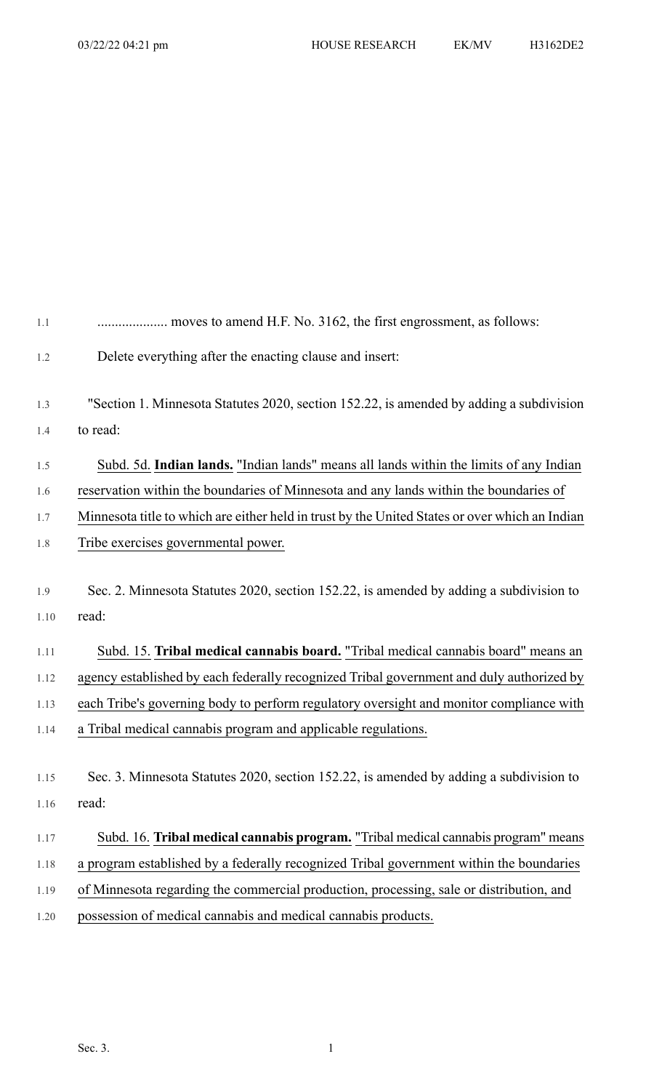| 1.1  |                                                                                                |
|------|------------------------------------------------------------------------------------------------|
| 1.2  | Delete everything after the enacting clause and insert:                                        |
| 1.3  | "Section 1. Minnesota Statutes 2020, section 152.22, is amended by adding a subdivision        |
| 1.4  | to read:                                                                                       |
| 1.5  | Subd. 5d. Indian lands. "Indian lands" means all lands within the limits of any Indian         |
| 1.6  | reservation within the boundaries of Minnesota and any lands within the boundaries of          |
| 1.7  | Minnesota title to which are either held in trust by the United States or over which an Indian |
| 1.8  | Tribe exercises governmental power.                                                            |
| 1.9  | Sec. 2. Minnesota Statutes 2020, section 152.22, is amended by adding a subdivision to         |
| 1.10 | read:                                                                                          |
| 1.11 | Subd. 15. Tribal medical cannabis board. "Tribal medical cannabis board" means an              |
| 1.12 | agency established by each federally recognized Tribal government and duly authorized by       |
| 1.13 | each Tribe's governing body to perform regulatory oversight and monitor compliance with        |
| 1.14 | a Tribal medical cannabis program and applicable regulations.                                  |
| 1.15 | Sec. 3. Minnesota Statutes 2020, section 152.22, is amended by adding a subdivision to         |
| 1.16 | read:                                                                                          |
| 1.17 | Subd. 16. Tribal medical cannabis program. "Tribal medical cannabis program" means             |
| 1.18 | a program established by a federally recognized Tribal government within the boundaries        |
| 1.19 | of Minnesota regarding the commercial production, processing, sale or distribution, and        |
| 1.20 | possession of medical cannabis and medical cannabis products.                                  |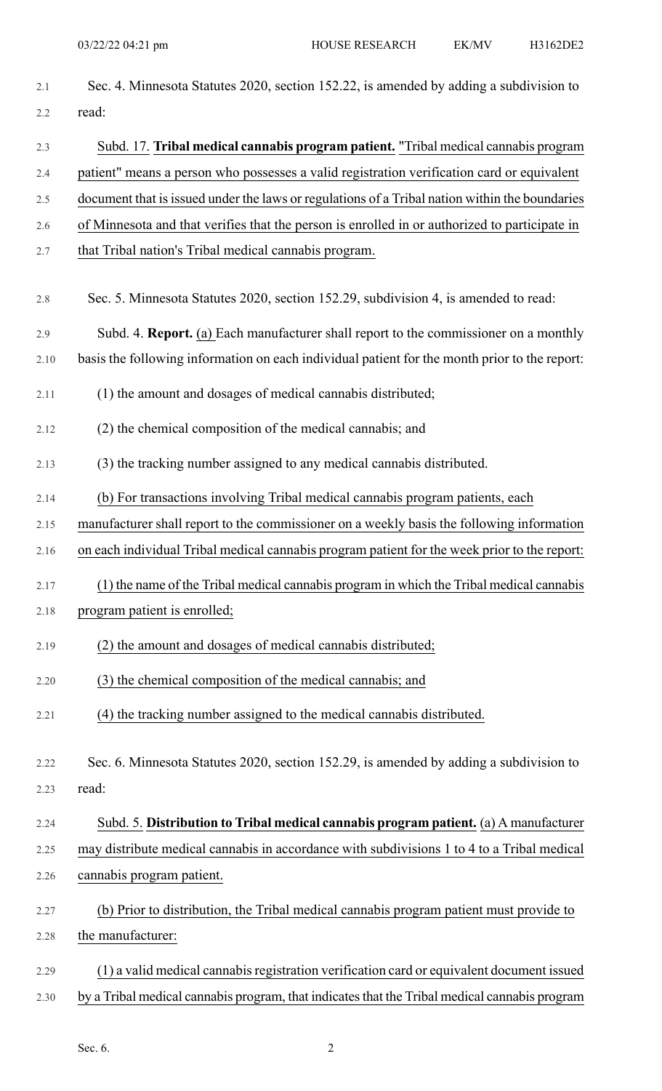| 2.1     | Sec. 4. Minnesota Statutes 2020, section 152.22, is amended by adding a subdivision to         |
|---------|------------------------------------------------------------------------------------------------|
| 2.2     | read:                                                                                          |
| 2.3     | Subd. 17. Tribal medical cannabis program patient. "Tribal medical cannabis program            |
| 2.4     | patient" means a person who possesses a valid registration verification card or equivalent     |
| $2.5\,$ | document that is issued under the laws or regulations of a Tribal nation within the boundaries |
| 2.6     | of Minnesota and that verifies that the person is enrolled in or authorized to participate in  |
| 2.7     | that Tribal nation's Tribal medical cannabis program.                                          |
| 2.8     | Sec. 5. Minnesota Statutes 2020, section 152.29, subdivision 4, is amended to read:            |
| 2.9     | Subd. 4. Report. (a) Each manufacturer shall report to the commissioner on a monthly           |
| 2.10    | basis the following information on each individual patient for the month prior to the report:  |
| 2.11    | (1) the amount and dosages of medical cannabis distributed;                                    |
| 2.12    | (2) the chemical composition of the medical cannabis; and                                      |
| 2.13    | (3) the tracking number assigned to any medical cannabis distributed.                          |
| 2.14    | (b) For transactions involving Tribal medical cannabis program patients, each                  |
| 2.15    | manufacturer shall report to the commissioner on a weekly basis the following information      |
| 2.16    | on each individual Tribal medical cannabis program patient for the week prior to the report:   |
| 2.17    | (1) the name of the Tribal medical cannabis program in which the Tribal medical cannabis       |
| 2.18    | program patient is enrolled;                                                                   |
| 2.19    | (2) the amount and dosages of medical cannabis distributed;                                    |
| 2.20    | (3) the chemical composition of the medical cannabis; and                                      |
| 2.21    | (4) the tracking number assigned to the medical cannabis distributed.                          |
| 2.22    | Sec. 6. Minnesota Statutes 2020, section 152.29, is amended by adding a subdivision to         |
| 2.23    | read:                                                                                          |
| 2.24    | Subd. 5. Distribution to Tribal medical cannabis program patient. (a) A manufacturer           |
| 2.25    | may distribute medical cannabis in accordance with subdivisions 1 to 4 to a Tribal medical     |
| 2.26    | cannabis program patient.                                                                      |
| 2.27    | (b) Prior to distribution, the Tribal medical cannabis program patient must provide to         |
| 2.28    | the manufacturer:                                                                              |
| 2.29    | (1) a valid medical cannabis registration verification card or equivalent document issued      |
| 2.30    | by a Tribal medical cannabis program, that indicates that the Tribal medical cannabis program  |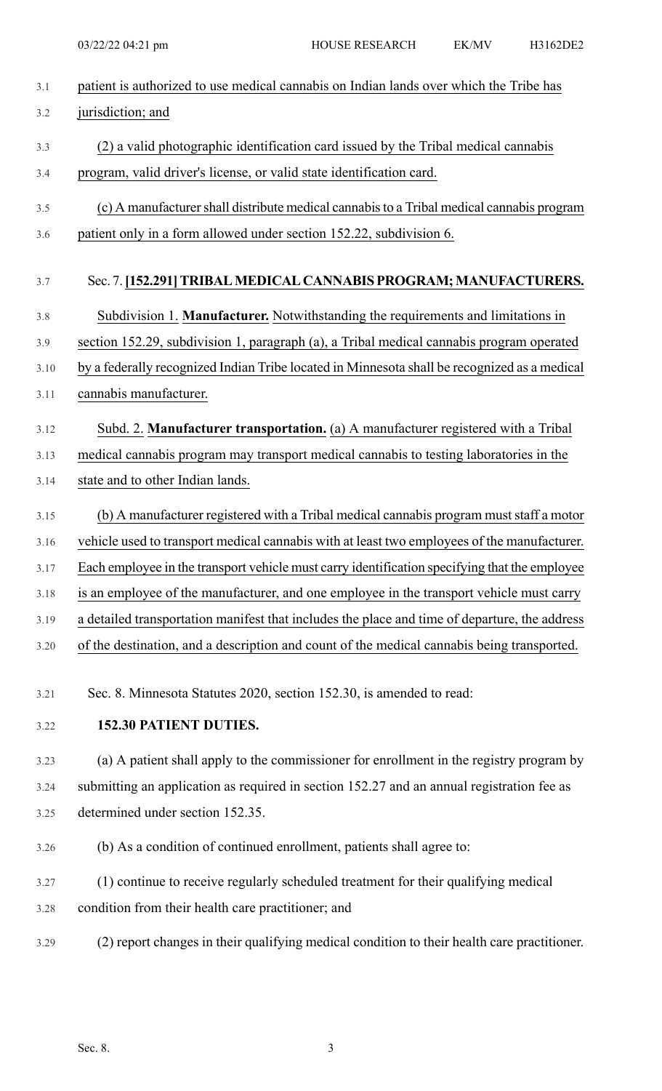| 3.1  | patient is authorized to use medical cannabis on Indian lands over which the Tribe has        |
|------|-----------------------------------------------------------------------------------------------|
| 3.2  | jurisdiction; and                                                                             |
| 3.3  | (2) a valid photographic identification card issued by the Tribal medical cannabis            |
| 3.4  | program, valid driver's license, or valid state identification card.                          |
| 3.5  | (c) A manufacturer shall distribute medical cannabis to a Tribal medical cannabis program     |
| 3.6  | patient only in a form allowed under section 152.22, subdivision 6.                           |
| 3.7  | Sec. 7. [152.291] TRIBAL MEDICAL CANNABIS PROGRAM; MANUFACTURERS.                             |
| 3.8  | Subdivision 1. Manufacturer. Notwithstanding the requirements and limitations in              |
| 3.9  | section 152.29, subdivision 1, paragraph (a), a Tribal medical cannabis program operated      |
| 3.10 | by a federally recognized Indian Tribe located in Minnesota shall be recognized as a medical  |
| 3.11 | cannabis manufacturer.                                                                        |
| 3.12 | Subd. 2. Manufacturer transportation. (a) A manufacturer registered with a Tribal             |
| 3.13 | medical cannabis program may transport medical cannabis to testing laboratories in the        |
| 3.14 | state and to other Indian lands.                                                              |
| 3.15 | (b) A manufacturer registered with a Tribal medical cannabis program must staff a motor       |
| 3.16 | vehicle used to transport medical cannabis with at least two employees of the manufacturer.   |
| 3.17 | Each employee in the transport vehicle must carry identification specifying that the employee |
| 3.18 | is an employee of the manufacturer, and one employee in the transport vehicle must carry      |
| 3.19 | a detailed transportation manifest that includes the place and time of departure, the address |
| 3.20 | of the destination, and a description and count of the medical cannabis being transported.    |
| 3.21 | Sec. 8. Minnesota Statutes 2020, section 152.30, is amended to read:                          |
| 3.22 | 152.30 PATIENT DUTIES.                                                                        |
| 3.23 | (a) A patient shall apply to the commissioner for enrollment in the registry program by       |
| 3.24 | submitting an application as required in section 152.27 and an annual registration fee as     |
| 3.25 | determined under section 152.35.                                                              |
| 3.26 | (b) As a condition of continued enrollment, patients shall agree to:                          |
| 3.27 | (1) continue to receive regularly scheduled treatment for their qualifying medical            |
| 3.28 | condition from their health care practitioner; and                                            |
| 3.29 | (2) report changes in their qualifying medical condition to their health care practitioner.   |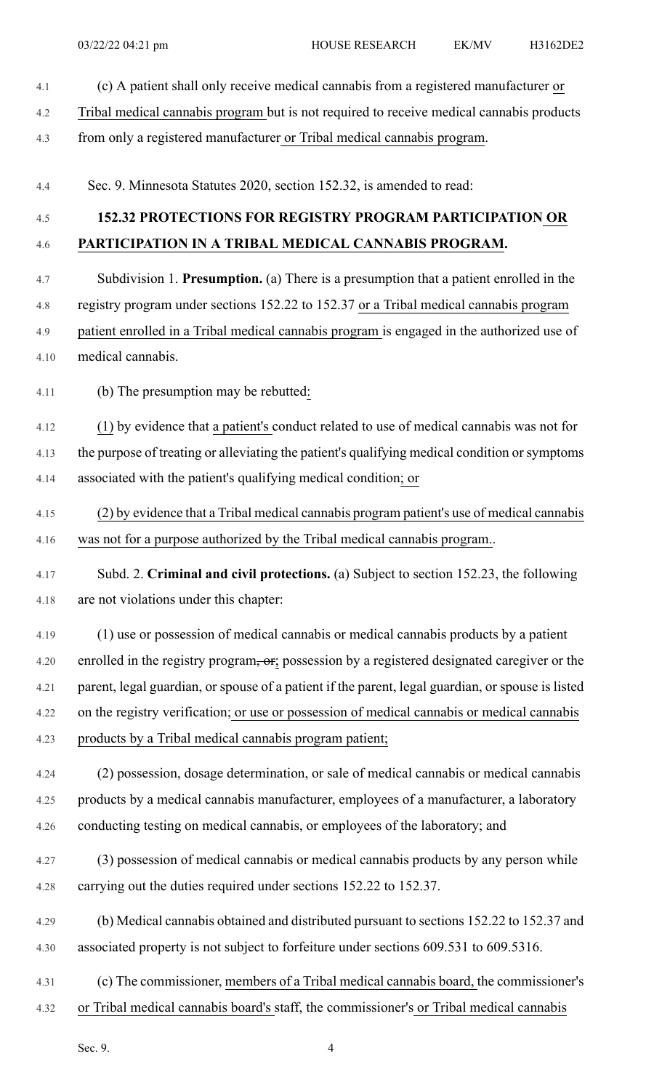- 4.1 (c) A patient shall only receive medical cannabis from a registered manufacturer or 4.2 Tribal medical cannabis program but is not required to receive medical cannabis products 4.3 from only a registered manufacturer or Tribal medical cannabis program. 4.4 Sec. 9. Minnesota Statutes 2020, section 152.32, is amended to read: 4.5 **152.32 PROTECTIONS FOR REGISTRY PROGRAM PARTICIPATION OR** 4.6 **PARTICIPATION IN A TRIBAL MEDICAL CANNABIS PROGRAM.** 4.7 Subdivision 1. **Presumption.** (a) There is a presumption that a patient enrolled in the 4.8 registry program under sections 152.22 to 152.37 or a Tribal medical cannabis program 4.9 patient enrolled in a Tribal medical cannabis program is engaged in the authorized use of 4.10 medical cannabis. 4.11 (b) The presumption may be rebutted: 4.12 (1) by evidence that a patient's conduct related to use of medical cannabis was not for 4.13 the purpose of treating or alleviating the patient's qualifying medical condition or symptoms 4.14 associated with the patient's qualifying medical condition; or 4.15 (2) by evidence that a Tribal medical cannabis program patient's use of medical cannabis 4.16 was not for a purpose authorized by the Tribal medical cannabis program.. 4.17 Subd. 2. **Criminal and civil protections.** (a) Subject to section 152.23, the following 4.18 are not violations under this chapter: 4.19 (1) use or possession of medical cannabis or medical cannabis products by a patient 4.20 enrolled in the registry program, or; possession by a registered designated caregiver or the 4.21 parent, legal guardian, or spouse of a patient if the parent, legal guardian, or spouse is listed 4.22 on the registry verification; or use or possession of medical cannabis or medical cannabis 4.23 products by a Tribal medical cannabis program patient; 4.24 (2) possession, dosage determination, or sale of medical cannabis or medical cannabis 4.25 products by a medical cannabis manufacturer, employees of a manufacturer, a laboratory 4.26 conducting testing on medical cannabis, or employees of the laboratory; and 4.27 (3) possession of medical cannabis or medical cannabis products by any person while 4.28 carrying out the duties required under sections 152.22 to 152.37. 4.29 (b) Medical cannabis obtained and distributed pursuant to sections 152.22 to 152.37 and 4.30 associated property is not subject to forfeiture under sections 609.531 to 609.5316. 4.31 (c) The commissioner, members of a Tribal medical cannabis board, the commissioner's 4.32 or Tribal medical cannabis board's staff, the commissioner's or Tribal medical cannabis
	- Sec. 9.  $\qquad \qquad \text{4}$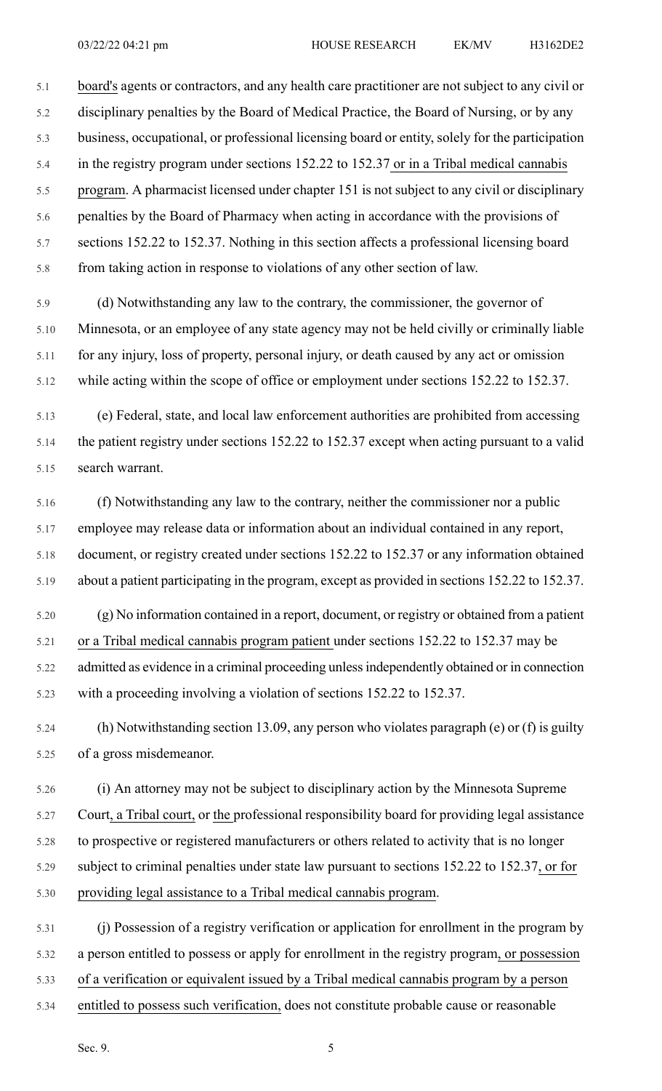5.1 board's agents or contractors, and any health care practitioner are not subject to any civil or 5.2 disciplinary penalties by the Board of Medical Practice, the Board of Nursing, or by any 5.3 business, occupational, or professional licensing board or entity, solely for the participation 5.4 in the registry program under sections 152.22 to 152.37 or in a Tribal medical cannabis 5.5 program. A pharmacist licensed under chapter 151 is not subject to any civil or disciplinary 5.6 penalties by the Board of Pharmacy when acting in accordance with the provisions of 5.7 sections 152.22 to 152.37. Nothing in this section affects a professional licensing board 5.8 from taking action in response to violations of any other section of law.

5.9 (d) Notwithstanding any law to the contrary, the commissioner, the governor of 5.10 Minnesota, or an employee of any state agency may not be held civilly or criminally liable 5.11 for any injury, loss of property, personal injury, or death caused by any act or omission 5.12 while acting within the scope of office or employment under sections 152.22 to 152.37.

5.13 (e) Federal, state, and local law enforcement authorities are prohibited from accessing 5.14 the patient registry under sections 152.22 to 152.37 except when acting pursuant to a valid 5.15 search warrant.

5.16 (f) Notwithstanding any law to the contrary, neither the commissioner nor a public 5.17 employee may release data or information about an individual contained in any report, 5.18 document, or registry created under sections 152.22 to 152.37 or any information obtained 5.19 about a patient participating in the program, except as provided in sections 152.22 to 152.37.

5.20 (g) No information contained in a report, document, or registry or obtained from a patient 5.21 or a Tribal medical cannabis program patient under sections 152.22 to 152.37 may be 5.22 admitted as evidence in a criminal proceeding unlessindependently obtained or in connection

5.23 with a proceeding involving a violation of sections 152.22 to 152.37.

5.24 (h) Notwithstanding section 13.09, any person who violates paragraph (e) or (f) is guilty 5.25 of a gross misdemeanor.

5.26 (i) An attorney may not be subject to disciplinary action by the Minnesota Supreme 5.27 Court, a Tribal court, or the professional responsibility board for providing legal assistance 5.28 to prospective or registered manufacturers or others related to activity that is no longer 5.29 subject to criminal penalties under state law pursuant to sections 152.22 to 152.37, or for 5.30 providing legal assistance to a Tribal medical cannabis program.

5.31 (j) Possession of a registry verification or application for enrollment in the program by 5.32 a person entitled to possess or apply for enrollment in the registry program, or possession 5.33 of a verification or equivalent issued by a Tribal medical cannabis program by a person 5.34 entitled to possess such verification, does not constitute probable cause or reasonable

Sec. 9.  $5$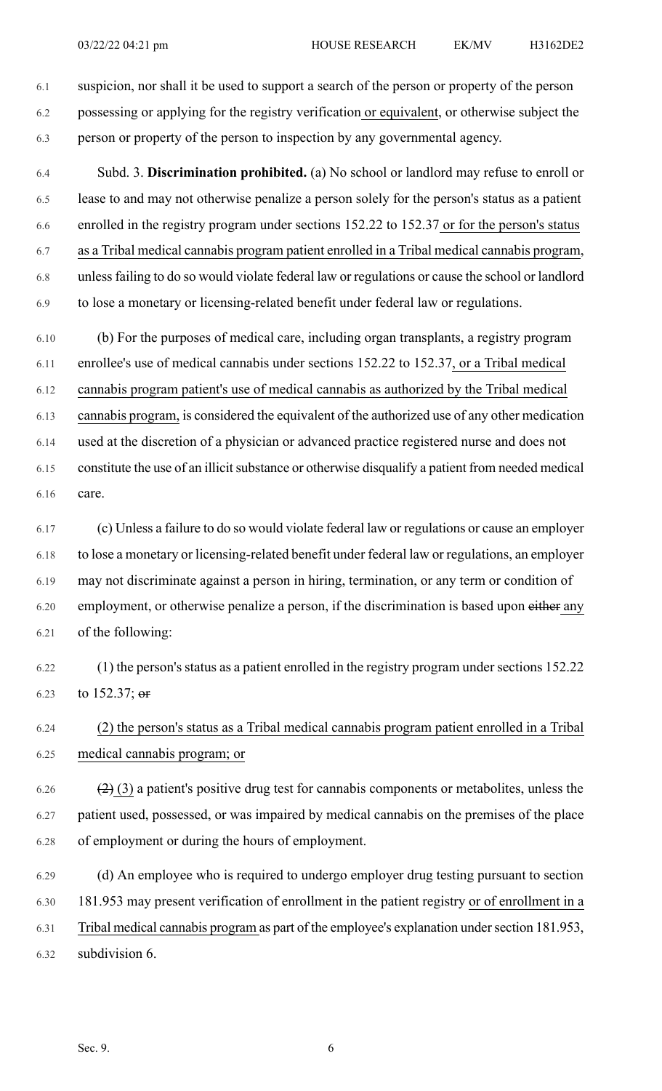6.1 suspicion, nor shall it be used to support a search of the person or property of the person 6.2 possessing or applying for the registry verification or equivalent, or otherwise subject the 6.3 person or property of the person to inspection by any governmental agency.

6.4 Subd. 3. **Discrimination prohibited.** (a) No school or landlord may refuse to enroll or 6.5 lease to and may not otherwise penalize a person solely for the person's status as a patient 6.6 enrolled in the registry program under sections 152.22 to 152.37 or for the person's status 6.7 as a Tribal medical cannabis program patient enrolled in a Tribal medical cannabis program, 6.8 unlessfailing to do so would violate federal law or regulations or cause the school or landlord 6.9 to lose a monetary or licensing-related benefit under federal law or regulations.

6.10 (b) For the purposes of medical care, including organ transplants, a registry program 6.11 enrollee's use of medical cannabis under sections 152.22 to 152.37, or a Tribal medical 6.12 cannabis program patient's use of medical cannabis as authorized by the Tribal medical 6.13 cannabis program, is considered the equivalent of the authorized use of any other medication 6.14 used at the discretion of a physician or advanced practice registered nurse and does not 6.15 constitute the use of an illicit substance or otherwise disqualify a patient from needed medical 6.16 care.

6.17 (c) Unless a failure to do so would violate federal law or regulations or cause an employer 6.18 to lose a monetary or licensing-related benefit under federal law or regulations, an employer 6.19 may not discriminate against a person in hiring, termination, or any term or condition of 6.20 employment, or otherwise penalize a person, if the discrimination is based upon either any 6.21 of the following:

6.22 (1) the person's status as a patient enrolled in the registry program under sections 152.22 6.23 to 152.37;  $er$ 

6.24 (2) the person's status as a Tribal medical cannabis program patient enrolled in a Tribal 6.25 medical cannabis program; or

6.26  $(2)$  (3) a patient's positive drug test for cannabis components or metabolites, unless the 6.27 patient used, possessed, or was impaired by medical cannabis on the premises of the place 6.28 of employment or during the hours of employment.

6.29 (d) An employee who is required to undergo employer drug testing pursuant to section 6.30 181.953 may present verification of enrollment in the patient registry or of enrollment in a 6.31 Tribal medical cannabis program as part of the employee's explanation undersection 181.953, 6.32 subdivision 6.